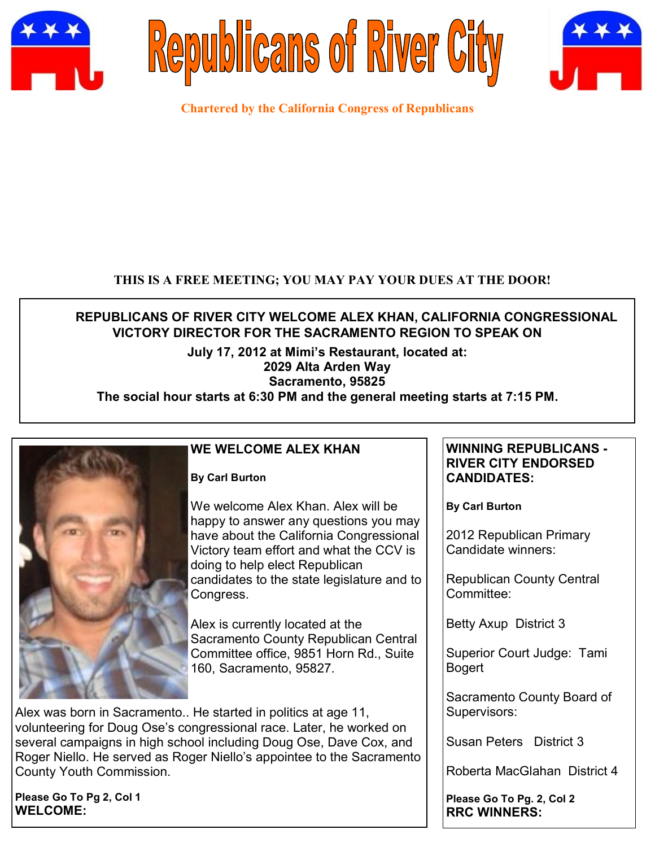





**Chartered by the California Congress of Republicans**

## **THIS IS A FREE MEETING; YOU MAY PAY YOUR DUES AT THE DOOR!**

# **REPUBLICANS OF RIVER CITY WELCOME ALEX KHAN, CALIFORNIA CONGRESSIONAL VICTORY DIRECTOR FOR THE SACRAMENTO REGION TO SPEAK ON**

### **July 17, 2012 at Mimi's Restaurant, located at: 2029 Alta Arden Way Sacramento, 95825**

# **The social hour starts at 6:30 PM and the general meeting starts at 7:15 PM.**



## **WE WELCOME ALEX KHAN**

**By Carl Burton**

We welcome Alex Khan. Alex will be happy to answer any questions you may have about the California Congressional Victory team effort and what the CCV is doing to help elect Republican candidates to the state legislature and to Congress.

Alex is currently located at the Sacramento County Republican Central Committee office, 9851 Horn Rd., Suite 160, Sacramento, 95827.

Alex was born in Sacramento.. He started in politics at age 11, volunteering for Doug Ose's congressional race. Later, he worked on several campaigns in high school including Doug Ose, Dave Cox, and Roger Niello. He served as Roger Niello's appointee to the Sacramento County Youth Commission.

**Please Go To Pg 2, Col 1 WELCOME:**

#### **WINNING REPUBLICANS - RIVER CITY ENDORSED CANDIDATES:**

**By Carl Burton**

2012 Republican Primary Candidate winners:

Republican County Central Committee:

Betty Axup District 3

Superior Court Judge: Tami Bogert

Sacramento County Board of Supervisors:

Susan Peters District 3

Roberta MacGlahan District 4

**Please Go To Pg. 2, Col 2 RRC WINNERS:**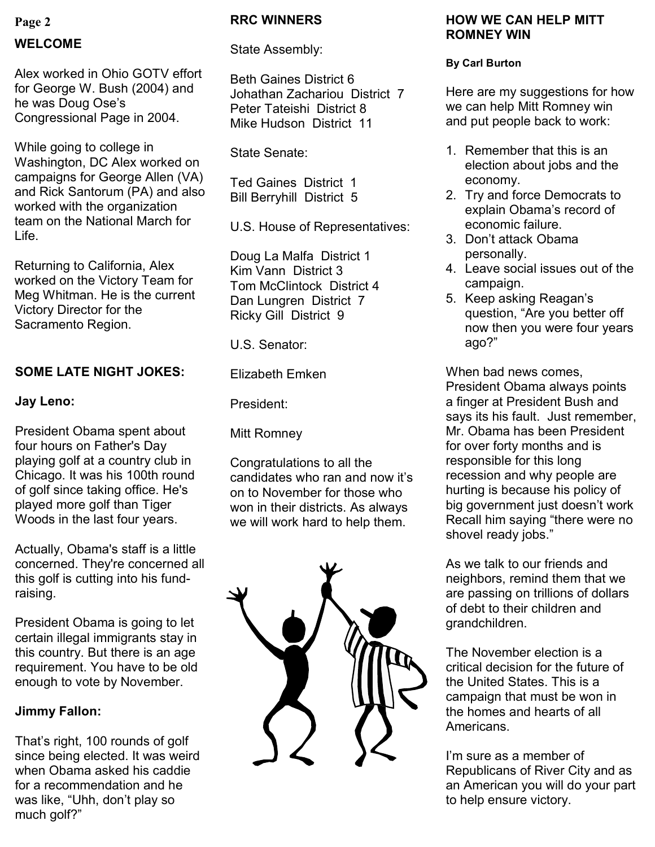## **Page 2**

## **WELCOME**

Alex worked in Ohio GOTV effort for George W. Bush (2004) and he was Doug Ose's Congressional Page in 2004.

While going to college in Washington, DC Alex worked on campaigns for George Allen (VA) and Rick Santorum (PA) and also worked with the organization team on the National March for Life.

Returning to California, Alex worked on the Victory Team for Meg Whitman. He is the current Victory Director for the Sacramento Region.

## **SOME LATE NIGHT JOKES:**

### **Jay Leno:**

President Obama spent about four hours on Father's Day playing golf at a country club in Chicago. It was his 100th round of golf since taking office. He's played more golf than Tiger Woods in the last four years.

Actually, Obama's staff is a little concerned. They're concerned all this golf is cutting into his fundraising.

President Obama is going to let certain illegal immigrants stay in this country. But there is an age requirement. You have to be old enough to vote by November.

## **Jimmy Fallon:**

That's right, 100 rounds of golf since being elected. It was weird when Obama asked his caddie for a recommendation and he was like, "Uhh, don't play so much golf?"

#### **RRC WINNERS**

#### State Assembly:

Beth Gaines District 6 Johathan Zachariou District 7 Peter Tateishi District 8 Mike Hudson District 11

State Senate:

Ted Gaines District 1 Bill Berryhill District 5

U.S. House of Representatives:

Doug La Malfa District 1 Kim Vann District 3 Tom McClintock District 4 Dan Lungren District 7 Ricky Gill District 9

U.S. Senator:

Elizabeth Emken

President:

Mitt Romney

Congratulations to all the candidates who ran and now it's on to November for those who won in their districts. As always we will work hard to help them.



#### **HOW WE CAN HELP MITT ROMNEY WIN**

#### **By Carl Burton**

Here are my suggestions for how we can help Mitt Romney win and put people back to work:

- 1. Remember that this is an election about jobs and the economy.
- 2. Try and force Democrats to explain Obama's record of economic failure.
- 3. Don't attack Obama personally.
- 4. Leave social issues out of the campaign.
- 5. Keep asking Reagan's question, "Are you better off now then you were four years ago?"

When bad news comes, President Obama always points a finger at President Bush and says its his fault. Just remember, Mr. Obama has been President for over forty months and is responsible for this long recession and why people are hurting is because his policy of big government just doesn't work Recall him saying "there were no shovel ready jobs."

As we talk to our friends and neighbors, remind them that we are passing on trillions of dollars of debt to their children and grandchildren.

The November election is a critical decision for the future of the United States. This is a campaign that must be won in the homes and hearts of all Americans.

I'm sure as a member of Republicans of River City and as an American you will do your part to help ensure victory.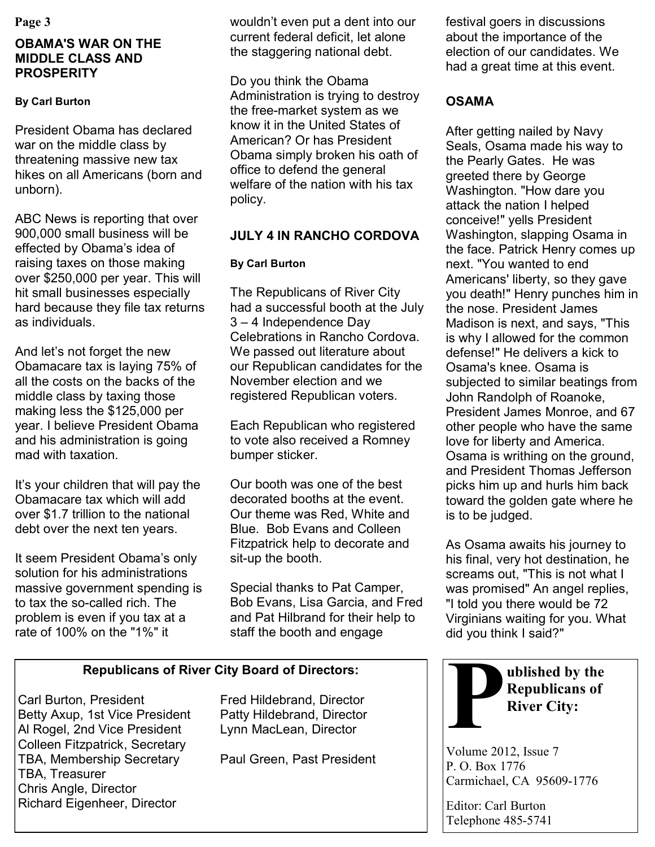## **OBAMA'S WAR ON THE MIDDLE CLASS AND PROSPERITY**

## **By Carl Burton**

President Obama has declared war on the middle class by threatening massive new tax hikes on all Americans (born and unborn).

ABC News is reporting that over 900,000 small business will be effected by Obama's idea of raising taxes on those making over \$250,000 per year. This will hit small businesses especially hard because they file tax returns as individuals.

And let's not forget the new Obamacare tax is laying 75% of all the costs on the backs of the middle class by taxing those making less the \$125,000 per year. I believe President Obama and his administration is going mad with taxation.

It's your children that will pay the Obamacare tax which will add over \$1.7 trillion to the national debt over the next ten years.

It seem President Obama's only solution for his administrations massive government spending is to tax the so-called rich. The problem is even if you tax at a rate of 100% on the "1%" it

**Page 3** festival goers in discussions wouldn't even put a dent into our festival goers in discussions current federal deficit, let alone the staggering national debt.

> Do you think the Obama Administration is trying to destroy the free-market system as we know it in the United States of American? Or has President Obama simply broken his oath of office to defend the general welfare of the nation with his tax policy.

# **JULY 4 IN RANCHO CORDOVA**

## **By Carl Burton**

The Republicans of River City had a successful booth at the July 3 – 4 Independence Day Celebrations in Rancho Cordova. We passed out literature about our Republican candidates for the November election and we registered Republican voters.

Each Republican who registered to vote also received a Romney bumper sticker.

Our booth was one of the best decorated booths at the event. Our theme was Red, White and Blue. Bob Evans and Colleen Fitzpatrick help to decorate and sit-up the booth.

Special thanks to Pat Camper, Bob Evans, Lisa Garcia, and Fred and Pat Hilbrand for their help to staff the booth and engage

## **Republicans of River City Board of Directors:**

Carl Burton, President Fred Hildebrand, Director Betty Axup, 1st Vice President Patty Hildebrand, Director Al Rogel, 2nd Vice President Lynn MacLean, Director Colleen Fitzpatrick, Secretary TBA, Membership Secretary Paul Green, Past President TBA, Treasurer Chris Angle, Director Richard Eigenheer, Director

about the importance of the election of our candidates. We had a great time at this event.

# **OSAMA**

After getting nailed by Navy Seals, Osama made his way to the Pearly Gates. He was greeted there by George Washington. "How dare you attack the nation I helped conceive!" yells President Washington, slapping Osama in the face. Patrick Henry comes up next. "You wanted to end Americans' liberty, so they gave you death!" Henry punches him in the nose. President James Madison is next, and says, "This is why I allowed for the common defense!" He delivers a kick to Osama's knee. Osama is subjected to similar beatings from John Randolph of Roanoke, President James Monroe, and 67 other people who have the same love for liberty and America. Osama is writhing on the ground, and President Thomas Jefferson picks him up and hurls him back toward the golden gate where he is to be judged.

As Osama awaits his journey to his final, very hot destination, he screams out, "This is not what I was promised" An angel replies, "I told you there would be 72 Virginians waiting for you. What did you think I said?"



Volume 2012, Issue 7 P. O. Box 1776 Carmichael, CA 95609-1776

Editor: Carl Burton Telephone 485-5741